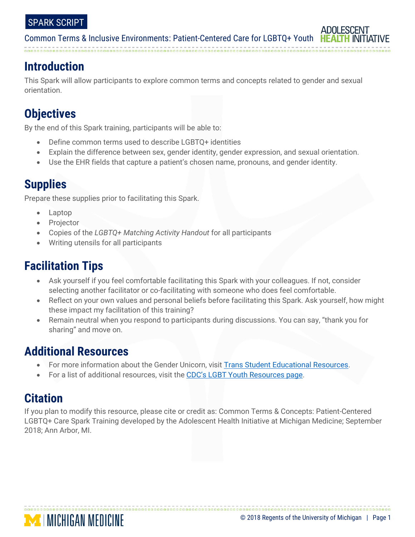# **Introduction**

This Spark will allow participants to explore common terms and concepts related to gender and sexual orientation.

# **Objectives**

By the end of this Spark training, participants will be able to:

- Define common terms used to describe LGBTQ+ identities
- Explain the difference between sex, gender identity, gender expression, and sexual orientation.
- Use the EHR fields that capture a patient's chosen name, pronouns, and gender identity.

# **Supplies**

Prepare these supplies prior to facilitating this Spark.

- Laptop
- Projector
- Copies of the *LGBTQ+ Matching Activity Handout* for all participants
- Writing utensils for all participants

# **Facilitation Tips**

- Ask yourself if you feel comfortable facilitating this Spark with your colleagues. If not, consider selecting another facilitator or co-facilitating with someone who does feel comfortable.
- Reflect on your own values and personal beliefs before facilitating this Spark. Ask yourself, how might these impact my facilitation of this training?
- Remain neutral when you respond to participants during discussions. You can say, "thank you for sharing" and move on.

# **Additional Resources**

- For more information about the Gender Unicorn, visit [Trans Student Educational Resources.](http://transstudent.org/gender/)
- For a list of additional resources, visit the [CDC's LGBT Youth](https://www.cdc.gov/lgbthealth/youth-resources.htm) Resources page.

# **Citation**

If you plan to modify this resource, please cite or credit as: Common Terms & Concepts: Patient-Centered LGBTQ+ Care Spark Training developed by the Adolescent Health Initiative at Michigan Medicine; September 2018; Ann Arbor, MI.

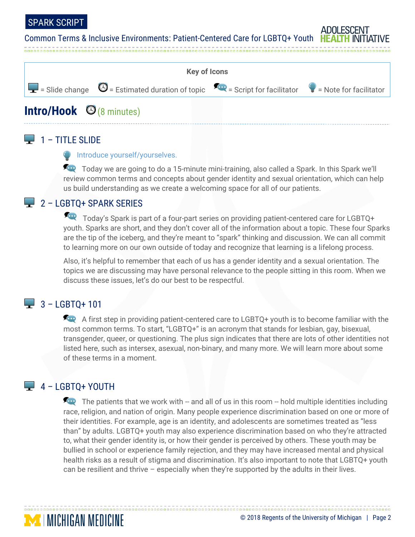### SPARK SCRIPT

Common Terms & Inclusive Environments: Patient-Centered Care for LGBTQ+ Youth HE



### $\Box$  1 – TITLE SLIDE

#### **Introduce yourself/yourselves.**

Today we are going to do a 15-minute mini-training, also called a Spark. In this Spark we'll review common terms and concepts about gender identity and sexual orientation, which can help us build understanding as we create a welcoming space for all of our patients.

# **2 - LGBTQ+ SPARK SERIES**

Today's Spark is part of a four-part series on providing patient-centered care for LGBTQ+ youth. Sparks are short, and they don't cover all of the information about a topic. These four Sparks are the tip of the iceberg, and they're meant to "spark" thinking and discussion. We can all commit to learning more on our own outside of today and recognize that learning is a lifelong process.

Also, it's helpful to remember that each of us has a gender identity and a sexual orientation. The topics we are discussing may have personal relevance to the people sitting in this room. When we discuss these issues, let's do our best to be respectful.

# $-3 -$  LGBTO+ 101

A first step in providing patient-centered care to LGBTQ+ youth is to become familiar with the most common terms. To start, "LGBTQ+" is an acronym that stands for lesbian, gay, bisexual, transgender, queer, or questioning. The plus sign indicates that there are lots of other identities not listed here, such as intersex, asexual, non-binary, and many more. We will learn more about some of these terms in a moment.

# $\Box$  4 – LGBTQ+ YOUTH

**MINICHIGAN MEDICINE** 

The patients that we work with  $-$  and all of us in this room  $-$  hold multiple identities including race, religion, and nation of origin. Many people experience discrimination based on one or more of their identities. For example, age is an identity, and adolescents are sometimes treated as "less than" by adults. LGBTQ+ youth may also experience discrimination based on who they're attracted to, what their gender identity is, or how their gender is perceived by others. These youth may be bullied in school or experience family rejection, and they may have increased mental and physical health risks as a result of stigma and discrimination. It's also important to note that LGBTQ+ youth can be resilient and thrive – especially when they're supported by the adults in their lives.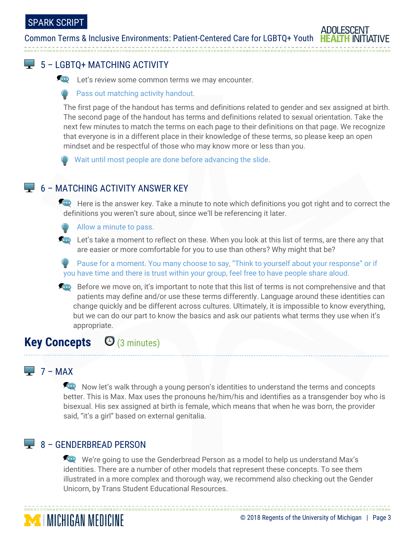

**Let's review some common terms we may encounter.** 

Pass out matching activity handout.

The first page of the handout has terms and definitions related to gender and sex assigned at birth. The second page of the handout has terms and definitions related to sexual orientation. Take the next few minutes to match the terms on each page to their definitions on that page. We recognize that everyone is in a different place in their knowledge of these terms, so please keep an open mindset and be respectful of those who may know more or less than you.

Wait until most people are done before advancing the slide.

# $\Box$  6 – MATCHING ACTIVITY ANSWER KEY

Here is the answer key. Take a minute to note which definitions you got right and to correct the definitions you weren't sure about, since we'll be referencing it later.

Allow a minute to pass.

**Let's take a moment to reflect on these. When you look at this list of terms, are there any that** are easier or more comfortable for you to use than others? Why might that be?

Pause for a moment. You many choose to say, "Think to yourself about your response" or if you have time and there is trust within your group, feel free to have people share aloud.

Before we move on, it's important to note that this list of terms is not comprehensive and that patients may define and/or use these terms differently. Language around these identities can change quickly and be different across cultures. Ultimately, it is impossible to know everything, but we can do our part to know the basics and ask our patients what terms they use when it's appropriate.

# **Key Concepts** (3 minutes)

# $\Box$  7 – MAX

Now let's walk through a young person's identities to understand the terms and concepts better. This is Max. Max uses the pronouns he/him/his and identifies as a transgender boy who is bisexual. His sex assigned at birth is female, which means that when he was born, the provider said, "it's a girl" based on external genitalia.

# 8 - GENDERBREAD PERSON

**MINICHIGAN MEDICINE** 

We're going to use the Genderbread Person as a model to help us understand Max's identities. There are a number of other models that represent these concepts. To see them illustrated in a more complex and thorough way, we recommend also checking out the Gender Unicorn, by Trans Student Educational Resources.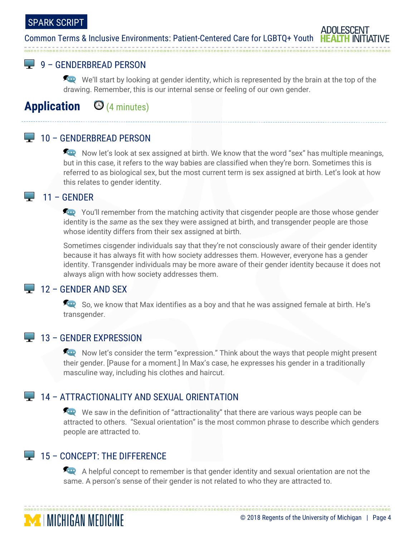# SPARK SCRIPT

#### Common Terms & Inclusive Environments: Patient-Centered Care for LGBTQ+ Youth HEA

# **9 – GENDERBREAD PERSON**

We'll start by looking at gender identity, which is represented by the brain at the top of the drawing. Remember, this is our internal sense or feeling of our own gender.

# **Application** (4 minutes)

## **10 – GENDERBREAD PERSON**

Now let's look at sex assigned at birth. We know that the word "sex" has multiple meanings, but in this case, it refers to the way babies are classified when they're born. Sometimes this is referred to as biological sex, but the most current term is sex assigned at birth. Let's look at how this relates to gender identity.

#### 11 – GENDER **Contract**

You'll remember from the matching activity that cisgender people are those whose gender identity is the *same* as the sex they were assigned at birth, and transgender people are those whose identity differs from their sex assigned at birth.

Sometimes cisgender individuals say that they're not consciously aware of their gender identity because it has always fit with how society addresses them. However, everyone has a gender identity. Transgender individuals may be more aware of their gender identity because it does not always align with how society addresses them.

### $\Box$  12 – GENDER AND SEX

So, we know that Max identifies as a boy and that he was assigned female at birth. He's transgender.

### $\Box$  13 – GENDER EXPRESSION

Now let's consider the term "expression." Think about the ways that people might present their gender. [Pause for a moment.] In Max's case, he expresses his gender in a traditionally masculine way, including his clothes and haircut.

### **14 – ATTRACTIONALITY AND SEXUAL ORIENTATION**

We saw in the definition of "attractionality" that there are various ways people can be attracted to others. "Sexual orientation" is the most common phrase to describe which genders people are attracted to.

# $\Box$  15 – CONCEPT: THE DIFFERENCE

**MINICHIGAN MEDICINE** 

A helpful concept to remember is that gender identity and sexual orientation are not the same. A person's sense of their gender is not related to who they are attracted to.